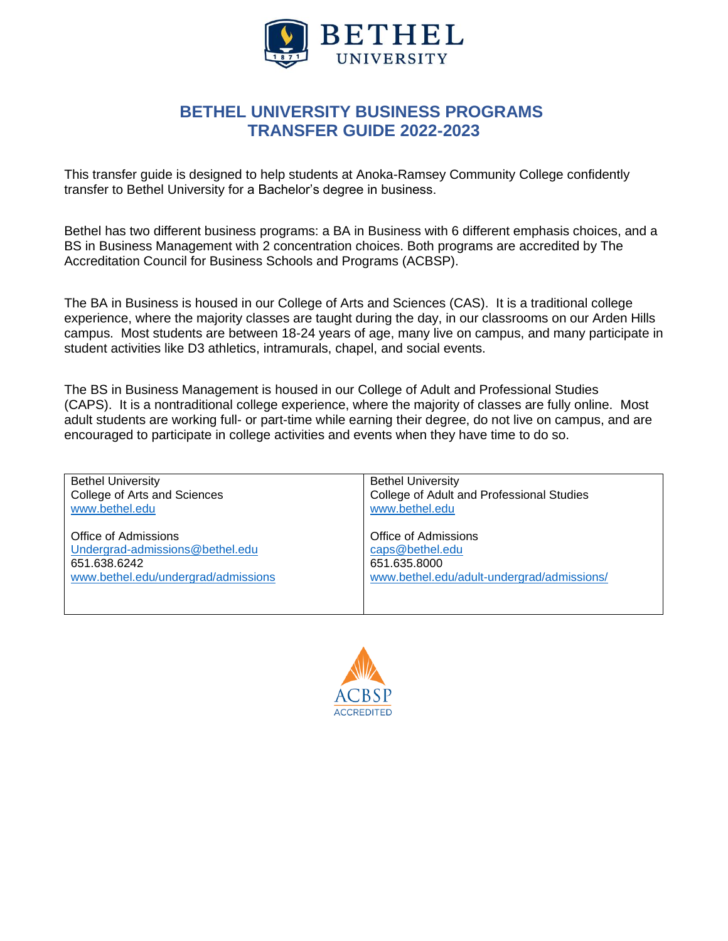

## **BETHEL UNIVERSITY BUSINESS PROGRAMS TRANSFER GUIDE 2022-2023**

This transfer guide is designed to help students at Anoka-Ramsey Community College confidently transfer to Bethel University for a Bachelor's degree in business.

Bethel has two different business programs: a BA in Business with 6 different emphasis choices, and a BS in Business Management with 2 concentration choices. Both programs are accredited by The Accreditation Council for Business Schools and Programs (ACBSP).

The BA in Business is housed in our College of Arts and Sciences (CAS). It is a traditional college experience, where the majority classes are taught during the day, in our classrooms on our Arden Hills campus. Most students are between 18-24 years of age, many live on campus, and many participate in student activities like D3 athletics, intramurals, chapel, and social events.

The BS in Business Management is housed in our College of Adult and Professional Studies (CAPS). It is a nontraditional college experience, where the majority of classes are fully online. Most adult students are working full- or part-time while earning their degree, do not live on campus, and are encouraged to participate in college activities and events when they have time to do so.

| <b>Bethel University</b>            | <b>Bethel University</b>                   |
|-------------------------------------|--------------------------------------------|
| College of Arts and Sciences        | College of Adult and Professional Studies  |
| www.bethel.edu                      | www.bethel.edu                             |
| Office of Admissions                | Office of Admissions                       |
| Undergrad-admissions@bethel.edu     | caps@bethel.edu                            |
| 651.638.6242                        | 651.635.8000                               |
| www.bethel.edu/undergrad/admissions | www.bethel.edu/adult-undergrad/admissions/ |

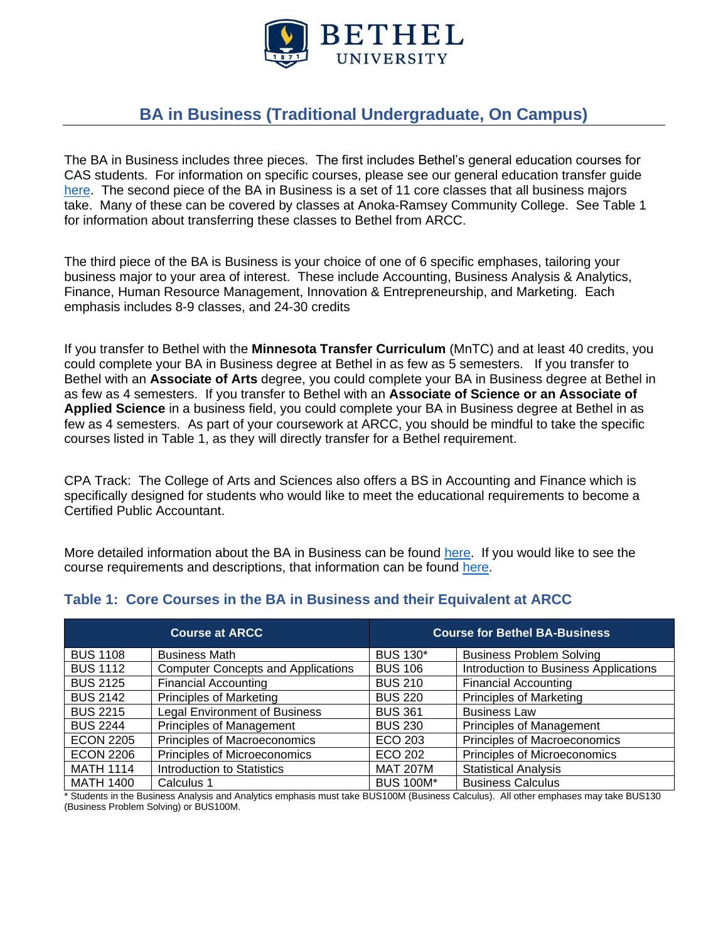

# **BA in Business (Traditional Undergraduate, On Campus)**

The BA in Business includes three pieces. The first includes Bethel's general education courses for CAS students. For information on specific courses, please see our general education transfer guide [here.](https://www.bethel.edu/registrar/transfer-credits/anoka-ramsey-transfer-guide.pdf) The second piece of the BA in Business is a set of 11 core classes that all business majors take. Many of these can be covered by classes at Anoka-Ramsey Community College. See Table 1 for information about transferring these classes to Bethel from ARCC.

The third piece of the BA is Business is your choice of one of 6 specific emphases, tailoring your business major to your area of interest. These include Accounting, Business Analysis & Analytics, Finance, Human Resource Management, Innovation & Entrepreneurship, and Marketing. Each emphasis includes 8-9 classes, and 24-30 credits

If you transfer to Bethel with the **Minnesota Transfer Curriculum** (MnTC) and at least 40 credits, you could complete your BA in Business degree at Bethel in as few as 5 semesters. If you transfer to Bethel with an **Associate of Arts** degree, you could complete your BA in Business degree at Bethel in as few as 4 semesters. If you transfer to Bethel with an **Associate of Science or an Associate of Applied Science** in a business field, you could complete your BA in Business degree at Bethel in as few as 4 semesters. As part of your coursework at ARCC, you should be mindful to take the specific courses listed in Table 1, as they will directly transfer for a Bethel requirement.

CPA Track: The College of Arts and Sciences also offers a BS in Accounting and Finance which is specifically designed for students who would like to meet the educational requirements to become a Certified Public Accountant.

More detailed information about the BA in Business can be found [here.](https://www.bethel.edu/undergrad/academics/business/) If you would like to see the course requirements and descriptions, that information can be found [here.](https://catalog.bethel.edu/arts-sciences/academic-programs-departments/business-economics/#text)

|                  | <b>Course at ARCC</b>                     |                  | <b>Course for Bethel BA-Business</b>  |
|------------------|-------------------------------------------|------------------|---------------------------------------|
| <b>BUS 1108</b>  | <b>Business Math</b>                      | <b>BUS 130*</b>  | <b>Business Problem Solving</b>       |
| <b>BUS 1112</b>  | <b>Computer Concepts and Applications</b> | <b>BUS 106</b>   | Introduction to Business Applications |
| <b>BUS 2125</b>  | <b>Financial Accounting</b>               | <b>BUS 210</b>   | <b>Financial Accounting</b>           |
| <b>BUS 2142</b>  | <b>Principles of Marketing</b>            | <b>BUS 220</b>   | <b>Principles of Marketing</b>        |
| <b>BUS 2215</b>  | <b>Legal Environment of Business</b>      | <b>BUS 361</b>   | <b>Business Law</b>                   |
| <b>BUS 2244</b>  | Principles of Management                  | <b>BUS 230</b>   | <b>Principles of Management</b>       |
| <b>ECON 2205</b> | Principles of Macroeconomics              | ECO 203          | Principles of Macroeconomics          |
| <b>ECON 2206</b> | Principles of Microeconomics              | ECO 202          | Principles of Microeconomics          |
| <b>MATH 1114</b> | Introduction to Statistics                | <b>MAT 207M</b>  | <b>Statistical Analysis</b>           |
| <b>MATH 1400</b> | Calculus 1                                | <b>BUS 100M*</b> | <b>Business Calculus</b>              |

#### **Table 1: Core Courses in the BA in Business and their Equivalent at ARCC**

\* Students in the Business Analysis and Analytics emphasis must take BUS100M (Business Calculus). All other emphases may take BUS130 (Business Problem Solving) or BUS100M.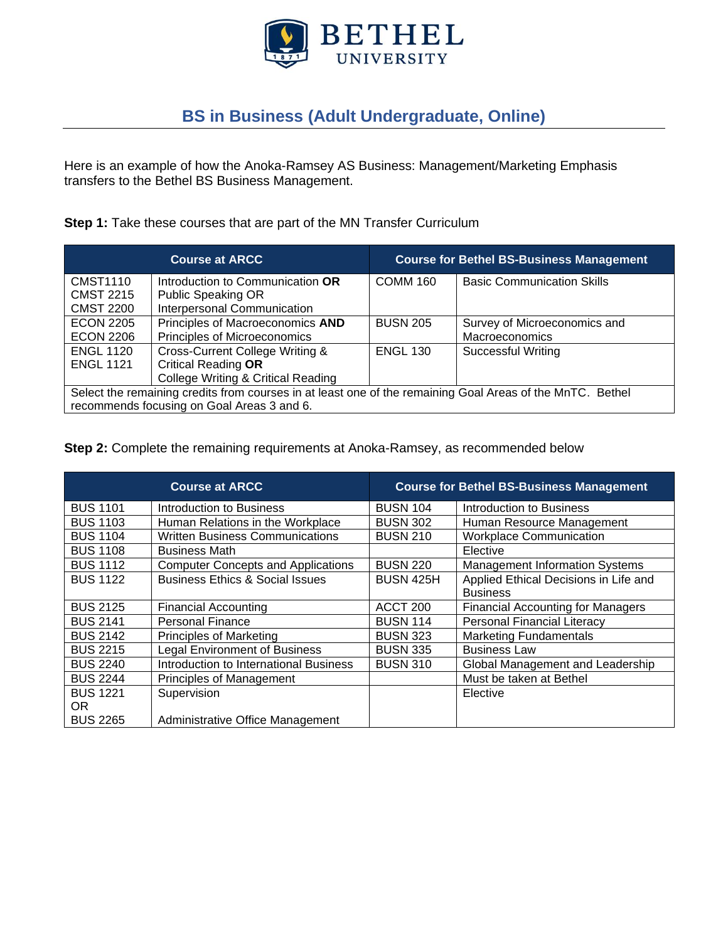

# **BS in Business (Adult Undergraduate, Online)**

Here is an example of how the Anoka-Ramsey AS Business: Management/Marketing Emphasis transfers to the Bethel BS Business Management.

#### **Step 1:** Take these courses that are part of the MN Transfer Curriculum

|                                                                                                           | <b>Course at ARCC</b>                         |                 | <b>Course for Bethel BS-Business Management</b> |
|-----------------------------------------------------------------------------------------------------------|-----------------------------------------------|-----------------|-------------------------------------------------|
| <b>CMST1110</b>                                                                                           | Introduction to Communication OR              | <b>COMM 160</b> | <b>Basic Communication Skills</b>               |
| <b>CMST 2215</b>                                                                                          | <b>Public Speaking OR</b>                     |                 |                                                 |
| <b>CMST 2200</b>                                                                                          | Interpersonal Communication                   |                 |                                                 |
| <b>ECON 2205</b>                                                                                          | Principles of Macroeconomics AND              | <b>BUSN 205</b> | Survey of Microeconomics and                    |
| <b>ECON 2206</b>                                                                                          | Principles of Microeconomics                  |                 | Macroeconomics                                  |
| <b>ENGL 1120</b>                                                                                          | Cross-Current College Writing &               | <b>ENGL 130</b> | <b>Successful Writing</b>                       |
| <b>ENGL 1121</b>                                                                                          | <b>Critical Reading OR</b>                    |                 |                                                 |
|                                                                                                           | <b>College Writing &amp; Critical Reading</b> |                 |                                                 |
| Select the remaining credits from courses in at least one of the remaining Goal Areas of the MnTC. Bethel |                                               |                 |                                                 |
| recommends focusing on Goal Areas 3 and 6.                                                                |                                               |                 |                                                 |

**Step 2:** Complete the remaining requirements at Anoka-Ramsey, as recommended below

|                 | <b>Course at ARCC</b>                      |                  | <b>Course for Bethel BS-Business Management</b> |
|-----------------|--------------------------------------------|------------------|-------------------------------------------------|
| <b>BUS 1101</b> | Introduction to Business                   | <b>BUSN 104</b>  | Introduction to Business                        |
| <b>BUS 1103</b> | Human Relations in the Workplace           | <b>BUSN 302</b>  | Human Resource Management                       |
| <b>BUS 1104</b> | <b>Written Business Communications</b>     | <b>BUSN 210</b>  | <b>Workplace Communication</b>                  |
| <b>BUS 1108</b> | <b>Business Math</b>                       |                  | Elective                                        |
| <b>BUS 1112</b> | <b>Computer Concepts and Applications</b>  | <b>BUSN 220</b>  | <b>Management Information Systems</b>           |
| <b>BUS 1122</b> | <b>Business Ethics &amp; Social Issues</b> | <b>BUSN 425H</b> | Applied Ethical Decisions in Life and           |
|                 |                                            |                  | <b>Business</b>                                 |
| <b>BUS 2125</b> | <b>Financial Accounting</b>                | ACCT 200         | <b>Financial Accounting for Managers</b>        |
| <b>BUS 2141</b> | <b>Personal Finance</b>                    | <b>BUSN 114</b>  | <b>Personal Financial Literacy</b>              |
| <b>BUS 2142</b> | <b>Principles of Marketing</b>             | <b>BUSN 323</b>  | <b>Marketing Fundamentals</b>                   |
| <b>BUS 2215</b> | <b>Legal Environment of Business</b>       | <b>BUSN 335</b>  | <b>Business Law</b>                             |
| <b>BUS 2240</b> | Introduction to International Business     | <b>BUSN 310</b>  | Global Management and Leadership                |
| <b>BUS 2244</b> | <b>Principles of Management</b>            |                  | Must be taken at Bethel                         |
| <b>BUS 1221</b> | Supervision                                |                  | Elective                                        |
| OR.             |                                            |                  |                                                 |
| <b>BUS 2265</b> | Administrative Office Management           |                  |                                                 |